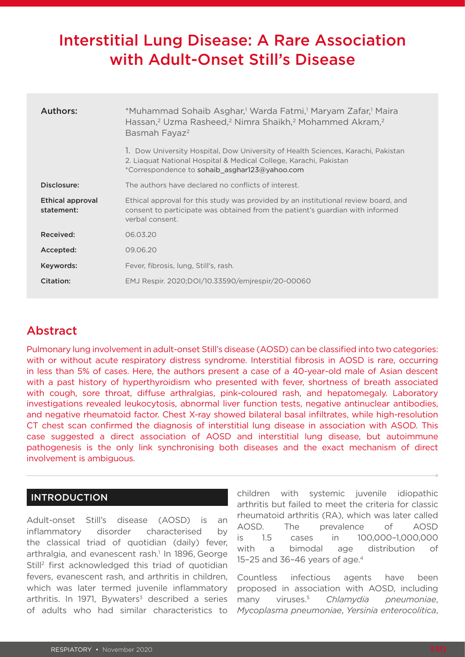# Interstitial Lung Disease: A Rare Association with Adult-Onset Still's Disease

| Authors:                       | *Muhammad Sohaib Asghar, <sup>1</sup> Warda Fatmi, <sup>1</sup> Maryam Zafar, <sup>1</sup> Maira<br>Hassan, <sup>2</sup> Uzma Rasheed, <sup>2</sup> Nimra Shaikh, <sup>2</sup> Mohammed Akram, <sup>2</sup><br>Basmah Fayaz <sup>2</sup> |
|--------------------------------|------------------------------------------------------------------------------------------------------------------------------------------------------------------------------------------------------------------------------------------|
|                                | 1. Dow University Hospital, Dow University of Health Sciences, Karachi, Pakistan<br>2. Liaguat National Hospital & Medical College, Karachi, Pakistan<br>*Correspondence to sohaib asghar123@yahoo.com                                   |
| Disclosure:                    | The authors have declared no conflicts of interest.                                                                                                                                                                                      |
| Ethical approval<br>statement: | Ethical approval for this study was provided by an institutional review board, and<br>consent to participate was obtained from the patient's quardian with informed<br>verbal consent.                                                   |
| Received:                      | 06.03.20                                                                                                                                                                                                                                 |
| Accepted:                      | 09.06.20                                                                                                                                                                                                                                 |
| Keywords:                      | Fever, fibrosis, lung, Still's, rash.                                                                                                                                                                                                    |
| Citation:                      | EMJ Respir. 2020;DOI/10.33590/emirespir/20-00060                                                                                                                                                                                         |

## Abstract

Pulmonary lung involvement in adult-onset Still's disease (AOSD) can be classified into two categories: with or without acute respiratory distress syndrome. Interstitial fibrosis in AOSD is rare, occurring in less than 5% of cases. Here, the authors present a case of a 40-year-old male of Asian descent with a past history of hyperthyroidism who presented with fever, shortness of breath associated with cough, sore throat, diffuse arthralgias, pink-coloured rash, and hepatomegaly. Laboratory investigations revealed leukocytosis, abnormal liver function tests, negative antinuclear antibodies, and negative rheumatoid factor. Chest X-ray showed bilateral basal infiltrates, while high-resolution CT chest scan confirmed the diagnosis of interstitial lung disease in association with ASOD. This case suggested a direct association of AOSD and interstitial lung disease, but autoimmune pathogenesis is the only link synchronising both diseases and the exact mechanism of direct involvement is ambiguous.

## INTRODUCTION

Adult-onset Still's disease (AOSD) is an inflammatory disorder characterised by the classical triad of quotidian (daily) fever, arthralgia, and evanescent rash.<sup>1</sup> In 1896, George Still<sup>2</sup> first acknowledged this triad of quotidian fevers, evanescent rash, and arthritis in children, which was later termed juvenile inflammatory arthritis. In 1971, Bywaters<sup>3</sup> described a series of adults who had similar characteristics to

children with systemic juvenile idiopathic arthritis but failed to meet the criteria for classic rheumatoid arthritis (RA), which was later called AOSD. The prevalence of AOSD is 1.5 cases in 100,000–1,000,000 with a bimodal age distribution of 15–25 and 36–46 years of age.4

Countless infectious agents have been proposed in association with AOSD, including many viruses.5 *Chlamydia pneumoniae*, *Mycoplasma pneumoniae*, *Yersinia enterocolitica*,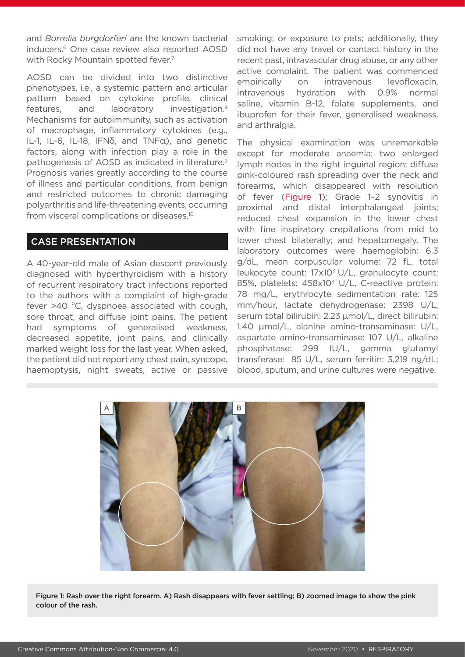and *Borrelia burgdorferi* are the known bacterial inducers.6 One case review also reported AOSD with Rocky Mountain spotted fever.<sup>7</sup>

AOSD can be divided into two distinctive phenotypes, i.e., a systemic pattern and articular pattern based on cytokine profile, clinical features, and laboratory investigation.8 Mechanisms for autoimmunity, such as activation of macrophage, inflammatory cytokines (e.g., IL-1, IL-6, IL-18, IFNδ, and TNFα), and genetic factors, along with infection play a role in the pathogenesis of AOSD as indicated in literature.9 Prognosis varies greatly according to the course of illness and particular conditions, from benign and restricted outcomes to chronic damaging polyarthritis and life-threatening events, occurring from visceral complications or diseases.10

## CASE PRESENTATION

A 40-year-old male of Asian descent previously diagnosed with hyperthyroidism with a history of recurrent respiratory tract infections reported to the authors with a complaint of high-grade fever >40 °C, dyspnoea associated with cough, sore throat, and diffuse joint pains. The patient had symptoms of generalised weakness, decreased appetite, joint pains, and clinically marked weight loss for the last year. When asked, the patient did not report any chest pain, syncope, haemoptysis, night sweats, active or passive

smoking, or exposure to pets; additionally, they did not have any travel or contact history in the recent past, intravascular drug abuse, or any other active complaint. The patient was commenced empirically on intravenous levofloxacin, intravenous hydration with 0.9% normal saline, vitamin B-12, folate supplements, and ibuprofen for their fever, generalised weakness, and arthralgia.

The physical examination was unremarkable except for moderate anaemia; two enlarged lymph nodes in the right inguinal region; diffuse pink-coloured rash spreading over the neck and forearms, which disappeared with resolution of fever (Figure 1); Grade 1–2 synovitis in proximal and distal interphalangeal joints; reduced chest expansion in the lower chest with fine inspiratory crepitations from mid to lower chest bilaterally; and hepatomegaly. The laboratory outcomes were haemoglobin: 6.3 g/dL, mean corpuscular volume: 72 fL, total leukocyte count: 17x10<sup>3</sup> U/L, granulocyte count: 85%, platelets: 458x10<sup>3</sup> U/L, C-reactive protein: 78 mg/L, erythrocyte sedimentation rate: 125 mm/hour, lactate dehydrogenase: 2398 U/L, serum total bilirubin: 2.23 µmol/L, direct bilirubin: 1.40 µmol/L, alanine amino-transaminase: U/L, aspartate amino-transaminase: 107 U/L, alkaline phosphatase: 299 IU/L, gamma glutamyl transferase: 85 U/L, serum ferritin: 3,219 ng/dL; blood, sputum, and urine cultures were negative.



Figure 1: Rash over the right forearm. A) Rash disappears with fever settling; B) zoomed image to show the pink colour of the rash.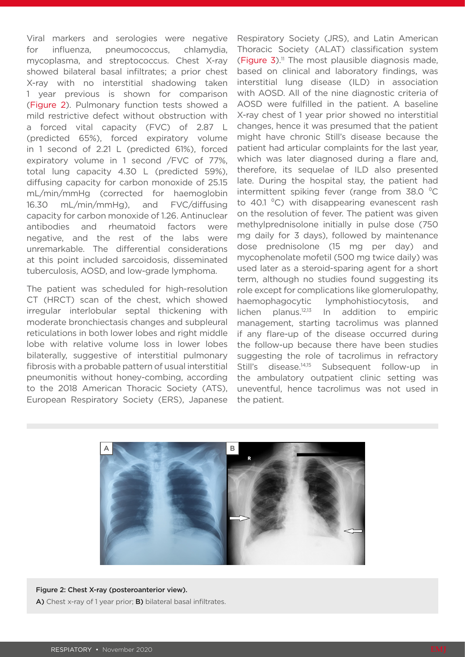Viral markers and serologies were negative for influenza, pneumococcus, chlamydia, mycoplasma, and streptococcus. Chest X-ray showed bilateral basal infiltrates; a prior chest X-ray with no interstitial shadowing taken 1 year previous is shown for comparison (Figure 2). Pulmonary function tests showed a mild restrictive defect without obstruction with a forced vital capacity (FVC) of 2.87 L (predicted 65%), forced expiratory volume in 1 second of 2.21 L (predicted 61%), forced expiratory volume in 1 second /FVC of 77%, total lung capacity 4.30 L (predicted 59%), diffusing capacity for carbon monoxide of 25.15 mL/min/mmHg (corrected for haemoglobin 16.30 mL/min/mmHg), and FVC/diffusing capacity for carbon monoxide of 1.26. Antinuclear antibodies and rheumatoid factors were negative, and the rest of the labs were unremarkable. The differential considerations at this point included sarcoidosis, disseminated tuberculosis, AOSD, and low-grade lymphoma.

The patient was scheduled for high-resolution CT (HRCT) scan of the chest, which showed irregular interlobular septal thickening with moderate bronchiectasis changes and subpleural reticulations in both lower lobes and right middle lobe with relative volume loss in lower lobes bilaterally, suggestive of interstitial pulmonary fibrosis with a probable pattern of usual interstitial pneumonitis without honey-combing, according to the 2018 American Thoracic Society (ATS), European Respiratory Society (ERS), Japanese

Respiratory Society (JRS), and Latin American Thoracic Society (ALAT) classification system (Figure  $3$ ).<sup>11</sup> The most plausible diagnosis made, based on clinical and laboratory findings, was interstitial lung disease (ILD) in association with AOSD. All of the nine diagnostic criteria of AOSD were fulfilled in the patient. A baseline X-ray chest of 1 year prior showed no interstitial changes, hence it was presumed that the patient might have chronic Still's disease because the patient had articular complaints for the last year, which was later diagnosed during a flare and, therefore, its sequelae of ILD also presented late. During the hospital stay, the patient had intermittent spiking fever (range from 38.0 °C to 40.1  $^{\circ}$ C) with disappearing evanescent rash on the resolution of fever. The patient was given methylprednisolone initially in pulse dose (750 mg daily for 3 days), followed by maintenance dose prednisolone (15 mg per day) and mycophenolate mofetil (500 mg twice daily) was used later as a steroid-sparing agent for a short term, although no studies found suggesting its role except for complications like glomerulopathy, haemophagocytic lymphohistiocytosis, and lichen planus.12,13 In addition to empiric management, starting tacrolimus was planned if any flare-up of the disease occurred during the follow-up because there have been studies suggesting the role of tacrolimus in refractory Still's disease.<sup>14,15</sup> Subsequent follow-up in the ambulatory outpatient clinic setting was uneventful, hence tacrolimus was not used in the patient.



#### Figure 2: Chest X-ray (posteroanterior view).

A) Chest x-ray of 1 year prior; B) bilateral basal infiltrates.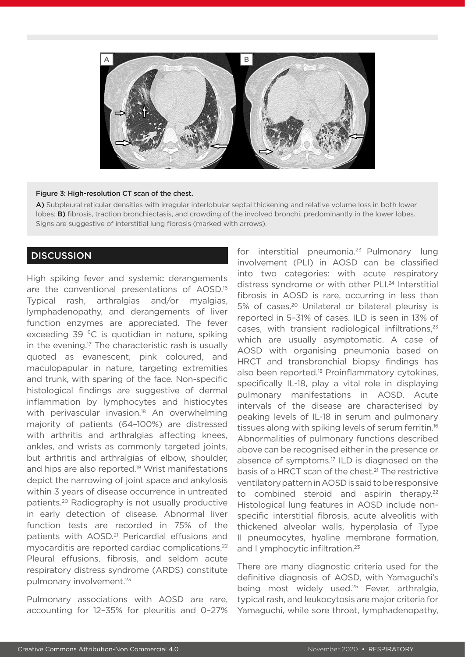

#### Figure 3: High-resolution CT scan of the chest.

A) Subpleural reticular densities with irregular interlobular septal thickening and relative volume loss in both lower lobes; **B)** fibrosis, traction bronchiectasis, and crowding of the involved bronchi, predominantly in the lower lobes. Signs are suggestive of interstitial lung fibrosis (marked with arrows).

## **DISCUSSION**

High spiking fever and systemic derangements are the conventional presentations of AOSD.16 Typical rash, arthralgias and/or myalgias, lymphadenopathy, and derangements of liver function enzymes are appreciated. The fever exceeding 39 °C is quotidian in nature, spiking in the evening.<sup>17</sup> The characteristic rash is usually quoted as evanescent, pink coloured, and maculopapular in nature, targeting extremities and trunk, with sparing of the face. Non-specific histological findings are suggestive of dermal inflammation by lymphocytes and histiocytes with perivascular invasion.<sup>18</sup> An overwhelming majority of patients (64–100%) are distressed with arthritis and arthralgias affecting knees. ankles, and wrists as commonly targeted joints, but arthritis and arthralgias of elbow, shoulder, and hips are also reported.<sup>19</sup> Wrist manifestations depict the narrowing of joint space and ankylosis within 3 years of disease occurrence in untreated patients.20 Radiography is not usually productive in early detection of disease. Abnormal liver function tests are recorded in 75% of the patients with AOSD.<sup>21</sup> Pericardial effusions and myocarditis are reported cardiac complications.22 Pleural effusions, fibrosis, and seldom acute respiratory distress syndrome (ARDS) constitute pulmonary involvement.<sup>23</sup>

Pulmonary associations with AOSD are rare, accounting for 12–35% for pleuritis and 0–27% for interstitial pneumonia.<sup>23</sup> Pulmonary lung involvement (PLI) in AOSD can be classified into two categories: with acute respiratory distress syndrome or with other PLI.24 Interstitial fibrosis in AOSD is rare, occurring in less than 5% of cases.<sup>20</sup> Unilateral or bilateral pleurisy is reported in 5–31% of cases. ILD is seen in 13% of cases, with transient radiological infiltrations, $23$ which are usually asymptomatic. A case of AOSD with organising pneumonia based on HRCT and transbronchial biopsy findings has also been reported.<sup>18</sup> Proinflammatory cytokines, specifically IL-18, play a vital role in displaying pulmonary manifestations in AOSD. Acute intervals of the disease are characterised by peaking levels of IL-18 in serum and pulmonary tissues along with spiking levels of serum ferritin.<sup>16</sup> Abnormalities of pulmonary functions described above can be recognised either in the presence or absence of symptoms.17 ILD is diagnosed on the basis of a HRCT scan of the chest.<sup>21</sup> The restrictive ventilatory pattern in AOSD is said to be responsive to combined steroid and aspirin therapy.<sup>22</sup> Histological lung features in AOSD include nonspecific interstitial fibrosis, acute alveolitis with thickened alveolar walls, hyperplasia of Type II pneumocytes, hyaline membrane formation, and I ymphocytic infiltration.<sup>23</sup>

There are many diagnostic criteria used for the definitive diagnosis of AOSD, with Yamaguchi's being most widely used.<sup>25</sup> Fever, arthralgia, typical rash, and leukocytosis are major criteria for Yamaguchi, while sore throat, lymphadenopathy,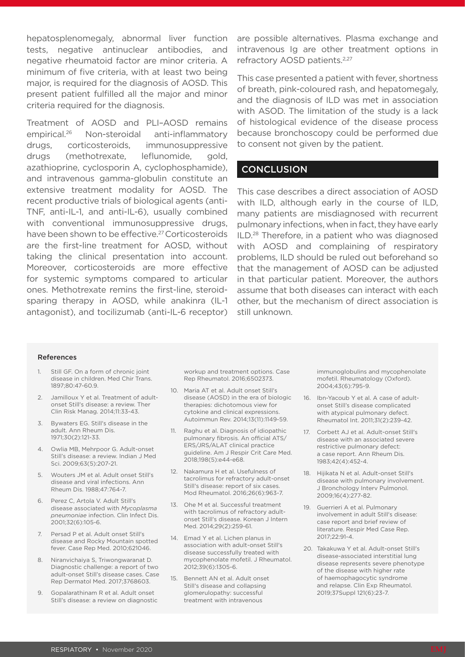hepatosplenomegaly, abnormal liver function tests, negative antinuclear antibodies, and negative rheumatoid factor are minor criteria. A minimum of five criteria, with at least two being major, is required for the diagnosis of AOSD. This present patient fulfilled all the major and minor criteria required for the diagnosis.

Treatment of AOSD and PLI–AOSD remains empirical.26 Non-steroidal anti-inflammatory drugs, corticosteroids, immunosuppressive drugs (methotrexate, leflunomide, gold, azathioprine, cyclosporin A, cyclophosphamide), and intravenous gamma-globulin constitute an extensive treatment modality for AOSD. The recent productive trials of biological agents (anti-TNF, anti-IL-1, and anti-IL-6), usually combined with conventional immunosuppressive drugs, have been shown to be effective.<sup>27</sup> Corticosteroids are the first-line treatment for AOSD, without taking the clinical presentation into account. Moreover, corticosteroids are more effective for systemic symptoms compared to articular ones. Methotrexate remins the first-line, steroidsparing therapy in AOSD, while anakinra (IL-1 antagonist), and tocilizumab (anti-IL-6 receptor)

are possible alternatives. Plasma exchange and intravenous Ig are other treatment options in refractory AOSD patients.<sup>2,27</sup>

This case presented a patient with fever, shortness of breath, pink-coloured rash, and hepatomegaly, and the diagnosis of ILD was met in association with ASOD. The limitation of the study is a lack of histological evidence of the disease process because bronchoscopy could be performed due to consent not given by the patient.

## **CONCLUSION**

This case describes a direct association of AOSD with ILD, although early in the course of ILD. many patients are misdiagnosed with recurrent pulmonary infections, when in fact, they have early ILD.28 Therefore, in a patient who was diagnosed with AOSD and complaining of respiratory problems, ILD should be ruled out beforehand so that the management of AOSD can be adjusted in that particular patient. Moreover, the authors assume that both diseases can interact with each other, but the mechanism of direct association is still unknown.

#### References

- 1. Still GF. On a form of chronic joint disease in children. Med Chir Trans. 1897;80:47-60.9.
- 2. Jamilloux Y et al. Treatment of adultonset Still's disease: a review. Ther Clin Risk Manag. 2014;11:33-43.
- 3. Bywaters EG. Still's disease in the adult. Ann Rheum Dis. 1971;30(2):121-33.
- 4. Owlia MB, Mehrpoor G. Adult-onset Still's disease: a review. Indian J Med Sci. 2009;63(5):207-21.
- 5. Wouters JM et al. Adult onset Still's disease and viral infections. Ann Rheum Dis. 1988;47:764-7.
- 6. Perez C, Artola V. Adult Still's disease associated with *Mycoplasma pneumoniae* infection. Clin Infect Dis. 2001;32(6):105-6.
- 7. Persad P et al. Adult onset Still's disease and Rocky Mountain spotted fever. Case Rep Med. 2010;621046.
- 8. Niranvichaiya S, Triwongwaranat D. Diagnostic challenge: a report of two adult-onset Still's disease cases. Case Rep Dermatol Med. 2017;3768603.
- 9. Gopalarathinam R et al. Adult onset Still's disease: a review on diagnostic

workup and treatment options. Case Rep Rheumatol. 2016;6502373.

- 10. Maria AT et al. Adult onset Still's disease (AOSD) in the era of biologic therapies: dichotomous view for cytokine and clinical expressions. Autoimmun Rev. 2014;13(11):1149-59.
- 11. Raghu et al. Diagnosis of idiopathic pulmonary fibrosis. An official ATS/ ERS/JRS/ALAT clinical practice guideline. Am J Respir Crit Care Med. 2018;198(5):e44-e68.
- 12. Nakamura H et al. Usefulness of tacrolimus for refractory adult-onset Still's disease: report of six cases. Mod Rheumatol. 2016;26(6):963-7.
- 13. Ohe M et al. Successful treatment with tacrolimus of refractory adultonset Still's disease. Korean J Intern Med. 2014;29(2):259-61.
- 14. Emad Y et al. Lichen planus in association with adult-onset Still's disease successfully treated with mycophenolate mofetil. J Rheumatol. 2012;39(6):1305-6.
- 15. Bennett AN et al. Adult onset Still's disease and collapsing glomerulopathy: successful treatment with intravenous

immunoglobulins and mycophenolate mofetil. Rheumatology (Oxford). 2004;43(6):795-9.

- 16. Ibn-Yacoub Y et al. A case of adultonset Still's disease complicated with atypical pulmonary defect. Rheumatol Int. 2011;31(2):239-42.
- 17. Corbett AJ et al. Adult-onset Still's disease with an associated severe restrictive pulmonary defect: a case report. Ann Rheum Dis. 1983;42(4):452-4.
- 18. Hijikata N et al. Adult-onset Still's disease with pulmonary involvement. J Bronchology Interv Pulmonol. 2009;16(4):277-82.
- 19. Guerrieri A et al. Pulmonary involvement in adult Still's disease: case report and brief review of literature. Respir Med Case Rep. 2017;22:91-4.
- 20. Takakuwa Y et al. Adult-onset Still's disease-associated interstitial lung disease represents severe phenotype of the disease with higher rate of haemophagocytic syndrome and relapse. Clin Exp Rheumatol. 2019;37Suppl 121(6):23-7.